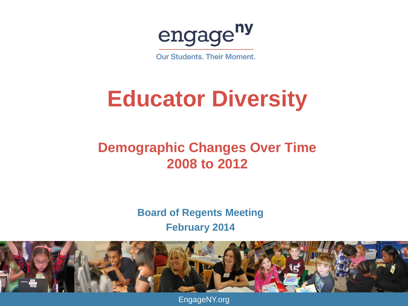engage<sup>ny</sup>

**Our Students, Their Moment.** 

#### **Educator Diversity**

#### **Demographic Changes Over Time 2008 to 2012**

**Board of Regents Meeting February 2014**



EngageNY.org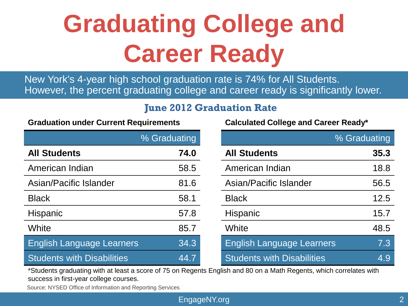## **Graduating College and Career Ready**

New York's 4-year high school graduation rate is 74% for All Students. However, the percent graduating college and career ready is significantly lower.

#### **June 2012 Graduation Rate**

|                                   | % Graduating |                 |                                   | % Graduating |
|-----------------------------------|--------------|-----------------|-----------------------------------|--------------|
| <b>All Students</b>               | 74.0         |                 | <b>All Students</b>               | 35.3         |
| American Indian                   | 58.5         |                 | American Indian                   | 18.8         |
| Asian/Pacific Islander            | 81.6         |                 | Asian/Pacific Islander            | 56.5         |
| <b>Black</b>                      | 58.1         | <b>Black</b>    |                                   | 12.5         |
| Hispanic                          | 57.8         | <b>Hispanic</b> |                                   | 15.7         |
| White                             | 85.7         | White           |                                   | 48.5         |
| <b>English Language Learners</b>  | 34.3         |                 | <b>English Language Learners</b>  | 7.3          |
| <b>Students with Disabilities</b> | 44.7         |                 | <b>Students with Disabilities</b> | 4.9          |

**Calculated College and Career Ready\*** 

\*Students graduating with at least a score of 75 on Regents English and 80 on a Math Regents, which correlates with success in first-year college courses.

Source: NYSED Office of Information and Reporting Services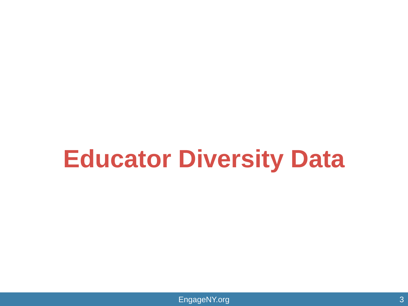## **Educator Diversity Data**

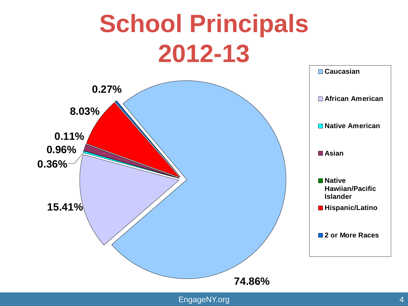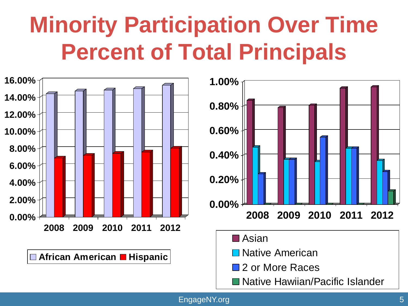### **Minority Participation Over Time Percent of Total Principals**





EngageNY.org 5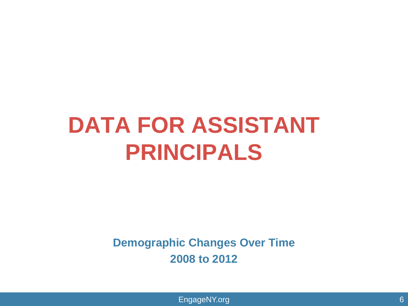#### **DATA FOR ASSISTANT PRINCIPALS**

**Demographic Changes Over Time 2008 to 2012**

EngageNY.org 6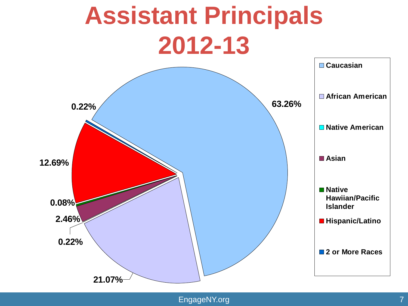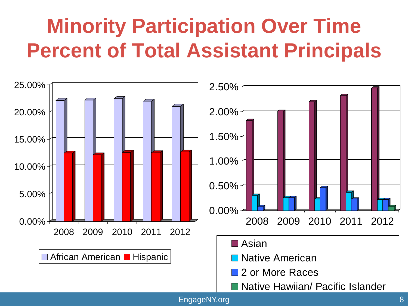#### **Minority Participation Over Time Percent of Total Assistant Principals**

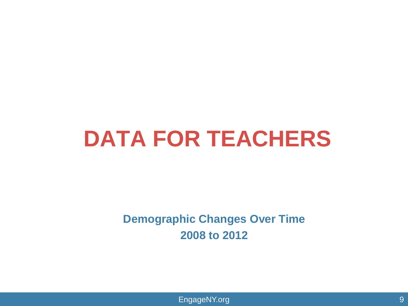#### **DATA FOR TEACHERS**

**Demographic Changes Over Time 2008 to 2012**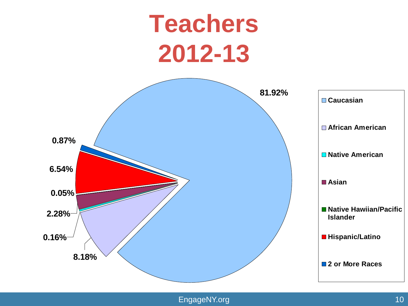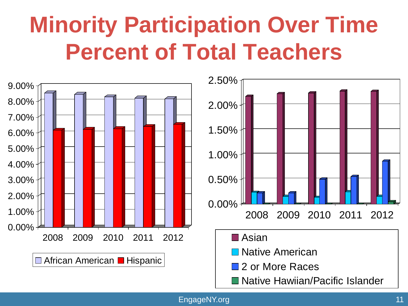#### **Minority Participation Over Time Percent of Total Teachers**



EngageNY.org 11 and 12 and 12 and 12 and 12 and 12 and 12 and 12 and 12 and 12 and 12 and 12 and 12 and 12 and 12 and 12 and 12 and 12 and 12 and 12 and 12 and 12 and 12 and 12 and 12 and 12 and 12 and 12 and 12 and 12 and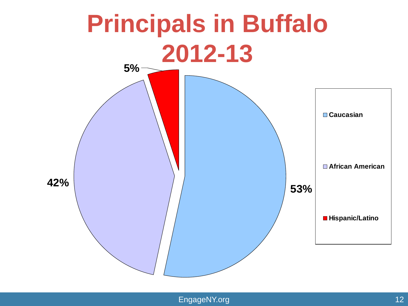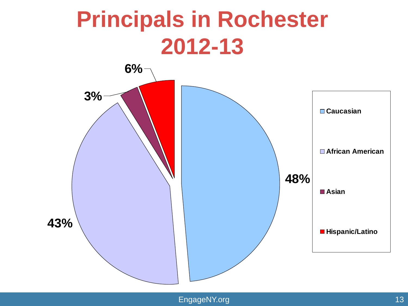#### **Principals in Rochester 2012-13**

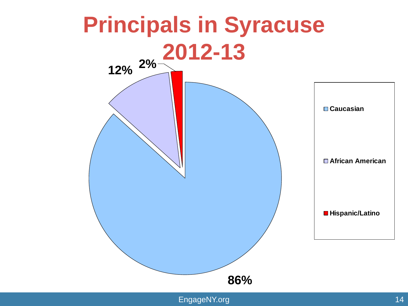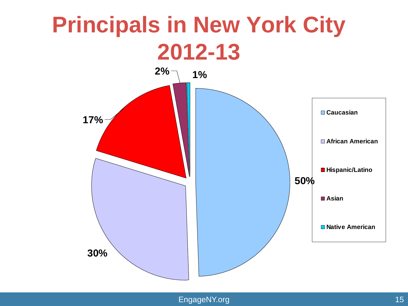#### **Principals in New York City 2012-13**

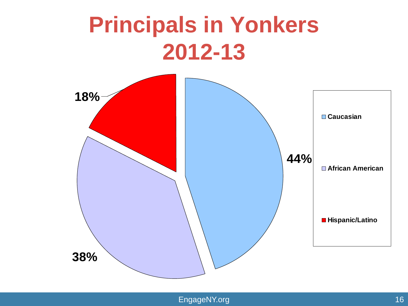#### **Principals in Yonkers 2012-13**

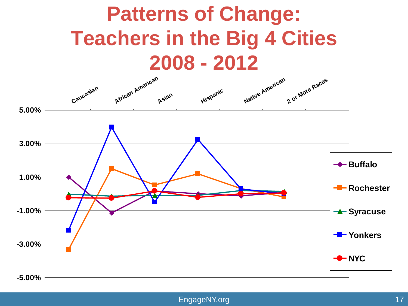# **Patterns of Change: Teachers in the Big 4 Cities**

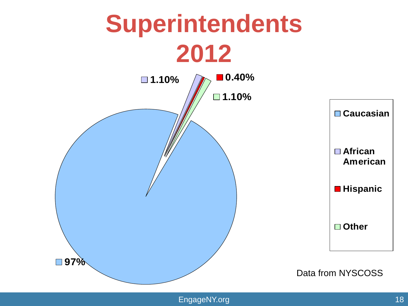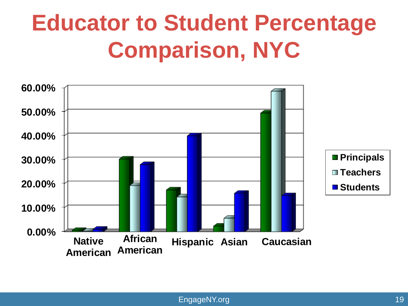### **Educator to Student Percentage Comparison, NYC**

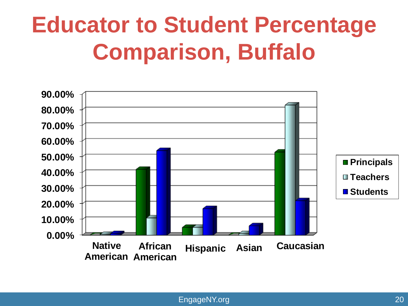#### **Educator to Student Percentage Comparison, Buffalo**

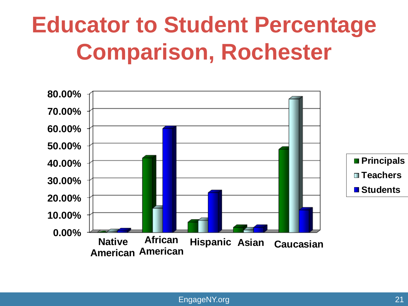#### **Educator to Student Percentage Comparison, Rochester**

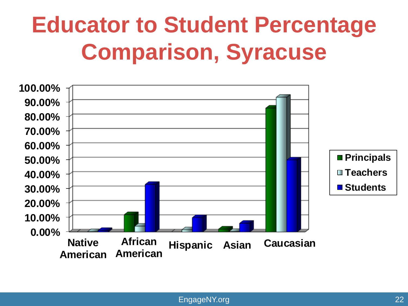### **Educator to Student Percentage Comparison, Syracuse**

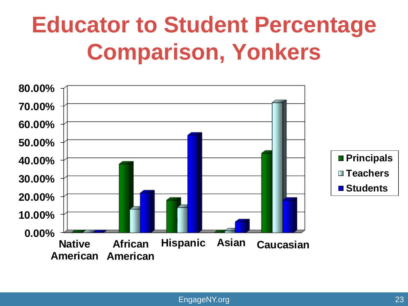### **Educator to Student Percentage Comparison, Yonkers**

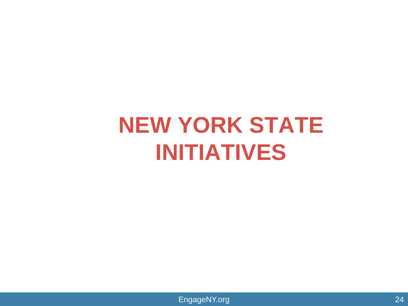#### **NEW YORK STATE INITIATIVES**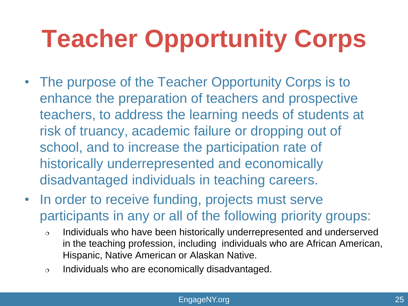## **Teacher Opportunity Corps**

- The purpose of the Teacher Opportunity Corps is to enhance the preparation of teachers and prospective teachers, to address the learning needs of students at risk of truancy, academic failure or dropping out of school, and to increase the participation rate of historically underrepresented and economically disadvantaged individuals in teaching careers.
- In order to receive funding, projects must serve participants in any or all of the following priority groups:
	- $\circ$  Individuals who have been historically underrepresented and underserved in the teaching profession, including individuals who are African American, Hispanic, Native American or Alaskan Native.
	- $\circ$  Individuals who are economically disadvantaged.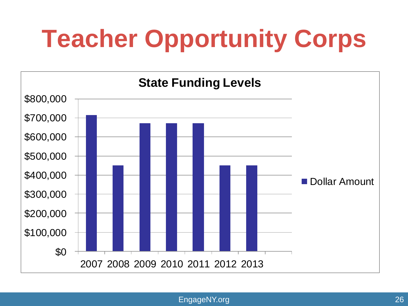# **Teacher Opportunity Corps**

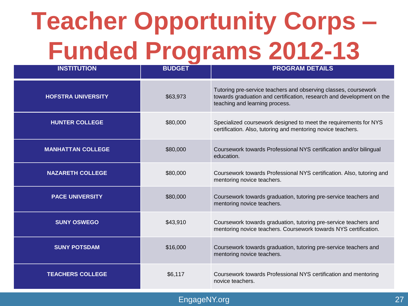## **Teacher Opportunity Corps – Funded Programs 2012-13**

| <b>INSTITUTION</b>        | <b>BUDGET</b> | <b>PROGRAM DETAILS</b>                                                                                                                                                     |  |  |
|---------------------------|---------------|----------------------------------------------------------------------------------------------------------------------------------------------------------------------------|--|--|
| <b>HOFSTRA UNIVERSITY</b> | \$63,973      | Tutoring pre-service teachers and observing classes, coursework<br>towards graduation and certification, research and development on the<br>teaching and learning process. |  |  |
| <b>HUNTER COLLEGE</b>     | \$80,000      | Specialized coursework designed to meet the requirements for NYS<br>certification. Also, tutoring and mentoring novice teachers.                                           |  |  |
| <b>MANHATTAN COLLEGE</b>  | \$80,000      | Coursework towards Professional NYS certification and/or bilingual<br>education.                                                                                           |  |  |
| <b>NAZARETH COLLEGE</b>   | \$80,000      | Coursework towards Professional NYS certification. Also, tutoring and<br>mentoring novice teachers.                                                                        |  |  |
| <b>PACE UNIVERSITY</b>    | \$80,000      | Coursework towards graduation, tutoring pre-service teachers and<br>mentoring novice teachers.                                                                             |  |  |
| <b>SUNY OSWEGO</b>        | \$43,910      | Coursework towards graduation, tutoring pre-service teachers and<br>mentoring novice teachers. Coursework towards NYS certification.                                       |  |  |
| <b>SUNY POTSDAM</b>       | \$16,000      | Coursework towards graduation, tutoring pre-service teachers and<br>mentoring novice teachers.                                                                             |  |  |
| <b>TEACHERS COLLEGE</b>   | \$6,117       | Coursework towards Professional NYS certification and mentoring<br>novice teachers.                                                                                        |  |  |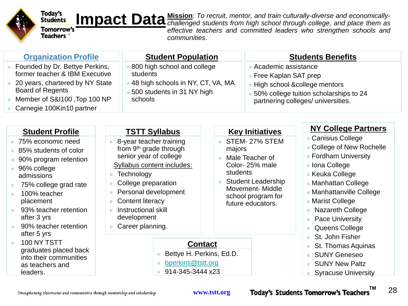

#### Today's<br>Students

Impact Data<sup>Mission: To recruit, mentor, and train culturally-diverse and economically-<br> **Impact Data** challenged students from high school through college, and place them as</sup> *challenged students from high school through college, and place them as effective teachers and committed leaders who strengthen schools and communities.*

| <b>Organization Profile</b>                                                                                                                                                                                                                                      | <b>Student Population</b>                                                                                                                                                                                                                                                                                                        |                                                                                                                                                                                                                                                                 |                                                                                                                                                                                | <b>Students Benefits</b>                                                                                                                                                                                                                                                                                |  |
|------------------------------------------------------------------------------------------------------------------------------------------------------------------------------------------------------------------------------------------------------------------|----------------------------------------------------------------------------------------------------------------------------------------------------------------------------------------------------------------------------------------------------------------------------------------------------------------------------------|-----------------------------------------------------------------------------------------------------------------------------------------------------------------------------------------------------------------------------------------------------------------|--------------------------------------------------------------------------------------------------------------------------------------------------------------------------------|---------------------------------------------------------------------------------------------------------------------------------------------------------------------------------------------------------------------------------------------------------------------------------------------------------|--|
| Founded by Dr. Bettye Perkins,<br>former teacher & IBM Executive<br>20 years, chartered by NY State<br><b>Board of Regents</b><br>Member of S&I100, Top 100 NP<br>Carnegie 100Kin10 partner                                                                      | students<br>schools                                                                                                                                                                                                                                                                                                              | 800 high school and college<br>Academic assistance<br>■ Free Kaplan SAT prep<br>48 high schools in NY, CT, VA, MA<br>High school &college mentors<br>500 students in 31 NY high<br>50% college tuition scholarships to 24<br>partnering colleges/ universities. |                                                                                                                                                                                |                                                                                                                                                                                                                                                                                                         |  |
| <b>Student Profile</b><br>75% economic need<br>85% students of color<br>90% program retention<br>96% college<br>admissions<br>75% college grad rate<br>100% teacher<br>×<br>placement<br>93% teacher retention<br>ш<br>after 3 yrs<br>90% teacher retention<br>× | <b>TSTT Syllabus</b><br>8-year teacher training<br>from 9 <sup>th</sup> grade through<br>senior year of college<br>Syllabus content includes:<br>Technology<br><b>I</b><br>College preparation<br>n.<br>Personal development<br>ш<br><b>Content literacy</b><br>п<br>Instructional skill<br>×<br>development<br>Career planning. | majors<br>students                                                                                                                                                                                                                                              | <b>Key Initiatives</b><br>STEM-27% STEM<br>Male Teacher of<br>Color-25% male<br><b>Student Leadership</b><br><b>Movement-Middle</b><br>school program for<br>future educators. | <b>NY College Partners</b><br><b>Canisius College</b><br>■ College of New Rochelle<br><b>Fordham University</b><br>lona College<br><b>E</b> Keuka College<br>- Manhattan College<br>- Manhattanville College<br>■ Marist College<br><b>Nazareth College</b><br><b>Pace University</b><br>Queens College |  |
| after 5 yrs<br>100 NY TSTT<br>×<br>graduates placed back<br>into their communities<br>as teachers and<br>leaders.<br>Strengthening classrooms and communities through mentorship and scholarship                                                                 | bperkins@tstt.org<br>914-345-3444 x23                                                                                                                                                                                                                                                                                            | <b>Contact</b><br>Bettye H. Perkins, Ed.D.<br>www.tstt.org                                                                                                                                                                                                      |                                                                                                                                                                                | St. John Fisher<br>St. Thomas Aquinas<br><b>SUNY Geneseo</b><br><b>SUNY New Paltz</b><br><b>Syracuse University</b><br>ΤM<br>28<br><b>Today's Students Tomorrow's Teachers</b>                                                                                                                          |  |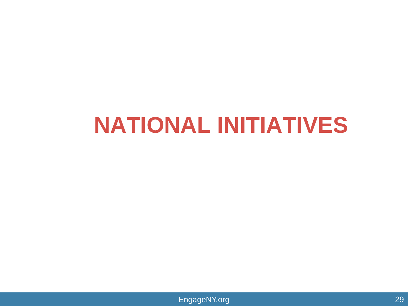#### **NATIONAL INITIATIVES**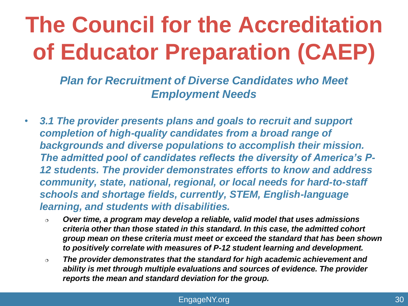### **The Council for the Accreditation of Educator Preparation (CAEP)**

*Plan for Recruitment of Diverse Candidates who Meet Employment Needs*

- *3.1 The provider presents plans and goals to recruit and support completion of high-quality candidates from a broad range of backgrounds and diverse populations to accomplish their mission. The admitted pool of candidates reflects the diversity of America's P-12 students. The provider demonstrates efforts to know and address community, state, national, regional, or local needs for hard-to-staff schools and shortage fields, currently, STEM, English-language learning, and students with disabilities.*
	- *Over time, a program may develop a reliable, valid model that uses admissions criteria other than those stated in this standard. In this case, the admitted cohort group mean on these criteria must meet or exceed the standard that has been shown to positively correlate with measures of P-12 student learning and development.*
	- *The provider demonstrates that the standard for high academic achievement and ability is met through multiple evaluations and sources of evidence. The provider reports the mean and standard deviation for the group.*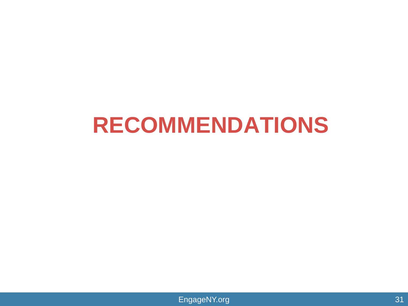#### **RECOMMENDATIONS**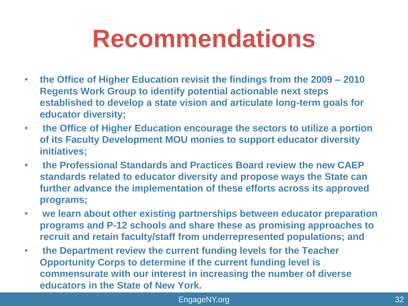## **Recommendations**

- **the Office of Higher Education revisit the findings from the 2009 – 2010 Regents Work Group to identify potential actionable next steps established to develop a state vision and articulate long-term goals for educator diversity;**
- **the Office of Higher Education encourage the sectors to utilize a portion of its Faculty Development MOU monies to support educator diversity initiatives;**
- **the Professional Standards and Practices Board review the new CAEP standards related to educator diversity and propose ways the State can further advance the implementation of these efforts across its approved programs;**
- **we learn about other existing partnerships between educator preparation programs and P-12 schools and share these as promising approaches to recruit and retain faculty/staff from underrepresented populations; and**
- **the Department review the current funding levels for the Teacher Opportunity Corps to determine if the current funding level is commensurate with our interest in increasing the number of diverse educators in the State of New York.**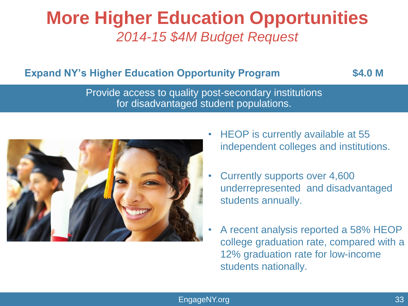#### **More Higher Education Opportunities** *2014-15 \$4M Budget Request*

#### **Expand NY's Higher Education Opportunity Program \$4.0 M**

Provide access to quality post-secondary institutions for disadvantaged student populations.



- HEOP is currently available at 55 independent colleges and institutions.
- Currently supports over 4,600 underrepresented and disadvantaged students annually.
- A recent analysis reported a 58% HEOP college graduation rate, compared with a 12% graduation rate for low-income students nationally.